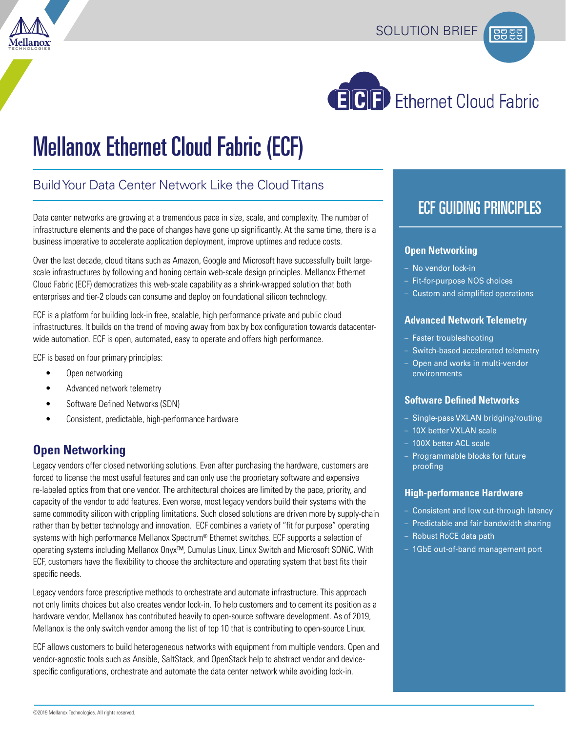





# Mellanox Ethernet Cloud Fabric (ECF)

## Build Your Data Center Network Like the Cloud Titans

Data center networks are growing at a tremendous pace in size, scale, and complexity. The number of infrastructure elements and the pace of changes have gone up significantly. At the same time, there is a business imperative to accelerate application deployment, improve uptimes and reduce costs.

Over the last decade, cloud titans such as Amazon, Google and Microsoft have successfully built largescale infrastructures by following and honing certain web-scale design principles. Mellanox Ethernet Cloud Fabric (ECF) democratizes this web-scale capability as a shrink-wrapped solution that both enterprises and tier-2 clouds can consume and deploy on foundational silicon technology.

ECF is a platform for building lock-in free, scalable, high performance private and public cloud infrastructures. It builds on the trend of moving away from box by box configuration towards datacenterwide automation. ECF is open, automated, easy to operate and offers high performance.

ECF is based on four primary principles:

- Open networking
- Advanced network telemetry
- Software Defined Networks (SDN)
- Consistent, predictable, high-performance hardware

### **Open Networking**

Legacy vendors offer closed networking solutions. Even after purchasing the hardware, customers are forced to license the most useful features and can only use the proprietary software and expensive re-labeled optics from that one vendor. The architectural choices are limited by the pace, priority, and capacity of the vendor to add features. Even worse, most legacy vendors build their systems with the same commodity silicon with crippling limitations. Such closed solutions are driven more by supply-chain rather than by better technology and innovation. ECF combines a variety of "fit for purpose" operating systems with high performance Mellanox Spectrum® Ethernet switches. ECF supports a selection of operating systems including Mellanox Onyx™, Cumulus Linux, Linux Switch and Microsoft SONiC. With ECF, customers have the flexibility to choose the architecture and operating system that best fits their specific needs.

Legacy vendors force prescriptive methods to orchestrate and automate infrastructure. This approach not only limits choices but also creates vendor lock-in. To help customers and to cement its position as a hardware vendor, Mellanox has contributed heavily to open-source software development. As of 2019, Mellanox is the only switch vendor among the list of top 10 that is contributing to open-source Linux.

ECF allows customers to build heterogeneous networks with equipment from multiple vendors. Open and vendor-agnostic tools such as Ansible, SaltStack, and OpenStack help to abstract vendor and devicespecific configurations, orchestrate and automate the data center network while avoiding lock-in.

## ECF GUIDING PRINCIPLES

#### **Open Networking**

- No vendor lock-in
- Fit-for-purpose NOS choices
- Custom and simplified operations

#### **Advanced Network Telemetry**

- Faster troubleshooting
- Switch-based accelerated telemetry
- Open and works in multi-vendor environments

#### **Software Defined Networks**

- Single-pass VXLAN bridging/routing
- 10X better VXLAN scale
- 100X better ACL scale
- Programmable blocks for future proofing

#### **High-performance Hardware**

- Consistent and low cut-through latency
- Predictable and fair bandwidth sharing
- Robust RoCE data path
- 1GbE out-of-band management port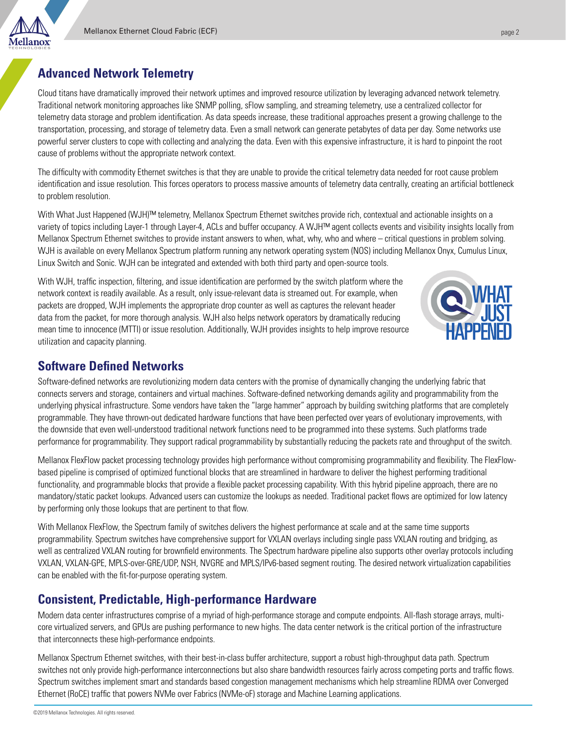## **Advanced Network Telemetry**

llanox

Cloud titans have dramatically improved their network uptimes and improved resource utilization by leveraging advanced network telemetry. Traditional network monitoring approaches like SNMP polling, sFlow sampling, and streaming telemetry, use a centralized collector for telemetry data storage and problem identification. As data speeds increase, these traditional approaches present a growing challenge to the transportation, processing, and storage of telemetry data. Even a small network can generate petabytes of data per day. Some networks use powerful server clusters to cope with collecting and analyzing the data. Even with this expensive infrastructure, it is hard to pinpoint the root cause of problems without the appropriate network context.

The difficulty with commodity Ethernet switches is that they are unable to provide the critical telemetry data needed for root cause problem identification and issue resolution. This forces operators to process massive amounts of telemetry data centrally, creating an artificial bottleneck to problem resolution.

With What Just Happened (WJH)™ telemetry, Mellanox Spectrum Ethernet switches provide rich, contextual and actionable insights on a variety of topics including Layer-1 through Layer-4, ACLs and buffer occupancy. A WJH™ agent collects events and visibility insights locally from Mellanox Spectrum Ethernet switches to provide instant answers to when, what, why, who and where – critical questions in problem solving. WJH is available on every Mellanox Spectrum platform running any network operating system (NOS) including Mellanox Onyx, Cumulus Linux, Linux Switch and Sonic. WJH can be integrated and extended with both third party and open-source tools.

With WJH, traffic inspection, filtering, and issue identification are performed by the switch platform where the network context is readily available. As a result, only issue-relevant data is streamed out. For example, when packets are dropped, WJH implements the appropriate drop counter as well as captures the relevant header data from the packet, for more thorough analysis. WJH also helps network operators by dramatically reducing mean time to innocence (MTTI) or issue resolution. Additionally, WJH provides insights to help improve resource utilization and capacity planning.



## **Software Defined Networks**

Software-defined networks are revolutionizing modern data centers with the promise of dynamically changing the underlying fabric that connects servers and storage, containers and virtual machines. Software-defined networking demands agility and programmability from the underlying physical infrastructure. Some vendors have taken the "large hammer" approach by building switching platforms that are completely programmable. They have thrown-out dedicated hardware functions that have been perfected over years of evolutionary improvements, with the downside that even well-understood traditional network functions need to be programmed into these systems. Such platforms trade performance for programmability. They support radical programmability by substantially reducing the packets rate and throughput of the switch.

Mellanox FlexFlow packet processing technology provides high performance without compromising programmability and flexibility. The FlexFlowbased pipeline is comprised of optimized functional blocks that are streamlined in hardware to deliver the highest performing traditional functionality, and programmable blocks that provide a flexible packet processing capability. With this hybrid pipeline approach, there are no mandatory/static packet lookups. Advanced users can customize the lookups as needed. Traditional packet flows are optimized for low latency by performing only those lookups that are pertinent to that flow.

With Mellanox FlexFlow, the Spectrum family of switches delivers the highest performance at scale and at the same time supports programmability. Spectrum switches have comprehensive support for VXLAN overlays including single pass VXLAN routing and bridging, as well as centralized VXLAN routing for brownfield environments. The Spectrum hardware pipeline also supports other overlay protocols including VXLAN, VXLAN-GPE, MPLS-over-GRE/UDP, NSH, NVGRE and MPLS/IPv6-based segment routing. The desired network virtualization capabilities can be enabled with the fit-for-purpose operating system.

## **Consistent, Predictable, High-performance Hardware**

Modern data center infrastructures comprise of a myriad of high-performance storage and compute endpoints. All-flash storage arrays, multicore virtualized servers, and GPUs are pushing performance to new highs. The data center network is the critical portion of the infrastructure that interconnects these high-performance endpoints.

Mellanox Spectrum Ethernet switches, with their best-in-class buffer architecture, support a robust high-throughput data path. Spectrum switches not only provide high-performance interconnections but also share bandwidth resources fairly across competing ports and traffic flows. Spectrum switches implement smart and standards based congestion management mechanisms which help streamline RDMA over Converged Ethernet (RoCE) traffic that powers NVMe over Fabrics (NVMe-oF) storage and Machine Learning applications.